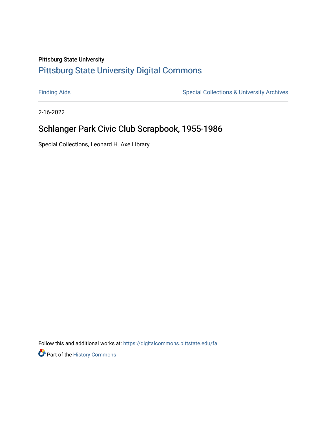## Pittsburg State University [Pittsburg State University Digital Commons](https://digitalcommons.pittstate.edu/)

[Finding Aids](https://digitalcommons.pittstate.edu/fa) **Special Collections & University Archives** Special Collections & University Archives

2-16-2022

# Schlanger Park Civic Club Scrapbook, 1955-1986

Special Collections, Leonard H. Axe Library

Follow this and additional works at: [https://digitalcommons.pittstate.edu/fa](https://digitalcommons.pittstate.edu/fa?utm_source=digitalcommons.pittstate.edu%2Ffa%2F373&utm_medium=PDF&utm_campaign=PDFCoverPages) 

**Part of the History Commons**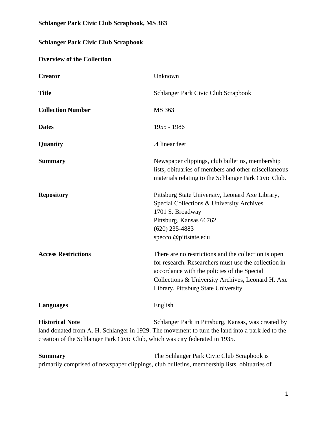#### **Schlanger Park Civic Club Scrapbook, MS 363**

### **Schlanger Park Civic Club Scrapbook**

#### **Overview of the Collection**

| <b>Creator</b>                                                                                         | Unknown                                                                                                                                                                                                                                                 |
|--------------------------------------------------------------------------------------------------------|---------------------------------------------------------------------------------------------------------------------------------------------------------------------------------------------------------------------------------------------------------|
| <b>Title</b>                                                                                           | Schlanger Park Civic Club Scrapbook                                                                                                                                                                                                                     |
| <b>Collection Number</b>                                                                               | MS 363                                                                                                                                                                                                                                                  |
| <b>Dates</b>                                                                                           | 1955 - 1986                                                                                                                                                                                                                                             |
| Quantity                                                                                               | .4 linear feet                                                                                                                                                                                                                                          |
| <b>Summary</b>                                                                                         | Newspaper clippings, club bulletins, membership<br>lists, obituaries of members and other miscellaneous<br>materials relating to the Schlanger Park Civic Club.                                                                                         |
| <b>Repository</b>                                                                                      | Pittsburg State University, Leonard Axe Library,<br>Special Collections & University Archives<br>1701 S. Broadway<br>Pittsburg, Kansas 66762<br>$(620)$ 235-4883<br>speccol@pittstate.edu                                                               |
| <b>Access Restrictions</b>                                                                             | There are no restrictions and the collection is open<br>for research. Researchers must use the collection in<br>accordance with the policies of the Special<br>Collections & University Archives, Leonard H. Axe<br>Library, Pittsburg State University |
| <b>Languages</b>                                                                                       | English                                                                                                                                                                                                                                                 |
| <b>Historical Note</b><br>creation of the Schlanger Park Civic Club, which was city federated in 1935. | Schlanger Park in Pittsburg, Kansas, was created by<br>land donated from A. H. Schlanger in 1929. The movement to turn the land into a park led to the                                                                                                  |

**Summary The Schlanger Park Civic Club Scrapbook is** primarily comprised of newspaper clippings, club bulletins, membership lists, obituaries of